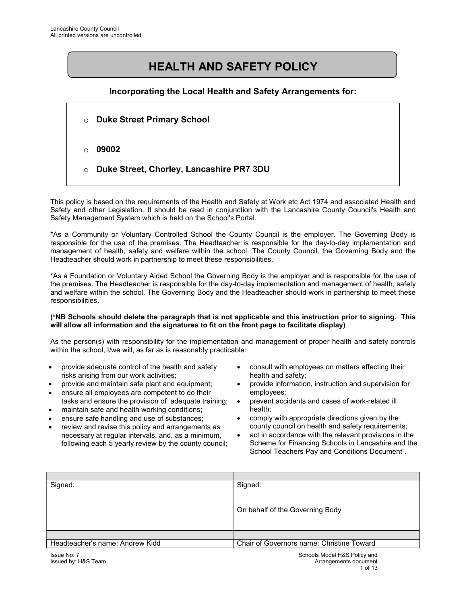# HEALTH AND SAFETY POLICY

#### Incorporating the Local Health and Safety Arrangements for:

o Duke Street Primary School  $\circ$  09002 o Duke Street, Chorley, Lancashire PR7 3DU

This policy is based on the requirements of the Health and Safety at Work etc Act 1974 and associated Health and Safety and other Legislation. It should be read in conjunction with the Lancashire County Council's Health and Safety Management System which is held on the School's Portal.

\*As a Community or Voluntary Controlled School the County Council is the employer. The Governing Body is responsible for the use of the premises. The Headteacher is responsible for the day-to-day implementation and management of health, safety and welfare within the school. The County Council, the Governing Body and the Headteacher should work in partnership to meet these responsibilities.

\*As a Foundation or Voluntary Aided School the Governing Body is the employer and is responsible for the use of the premises. The Headteacher is responsible for the day-to-day implementation and management of health, safety and welfare within the school. The Governing Body and the Headteacher should work in partnership to meet these responsibilities.

#### (\*NB Schools should delete the paragraph that is not applicable and this instruction prior to signing. This will allow all information and the signatures to fit on the front page to facilitate display)

As the person(s) with responsibility for the implementation and management of proper health and safety controls within the school, I/we will, as far as is reasonably practicable:

- provide adequate control of the health and safety risks arising from our work activities;
- provide and maintain safe plant and equipment;
- ensure all employees are competent to do their tasks and ensure the provision of adequate training;
- maintain safe and health working conditions;
- ensure safe handling and use of substances;
- review and revise this policy and arrangements as necessary at regular intervals, and, as a minimum, following each 5 yearly review by the county council;
- consult with employees on matters affecting their health and safety;
- provide information, instruction and supervision for employees;
- prevent accidents and cases of work-related ill health;
- comply with appropriate directions given by the county council on health and safety requirements;
- act in accordance with the relevant provisions in the Scheme for Financing Schools in Lancashire and the School Teachers Pay and Conditions Document".

| Signed:                         | Signed:                                   |
|---------------------------------|-------------------------------------------|
|                                 |                                           |
|                                 |                                           |
|                                 | On behalf of the Governing Body           |
|                                 |                                           |
|                                 |                                           |
|                                 |                                           |
| Headteacher's name: Andrew Kidd | Chair of Governors name: Christine Toward |
| $lcm \sim Ng$ . $7$             | Schoole Model HPS Delieu and              |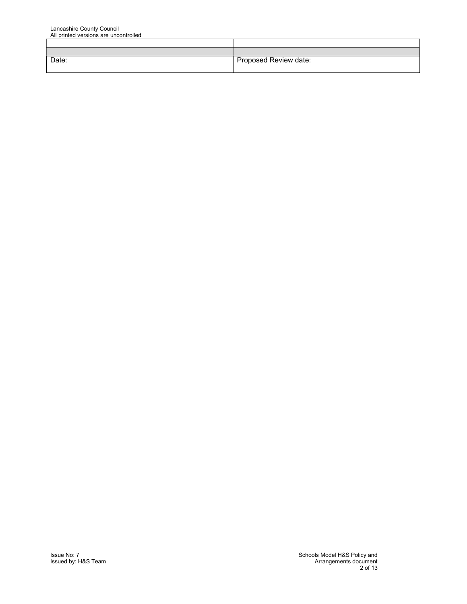| Date: | Proposed Review date: |
|-------|-----------------------|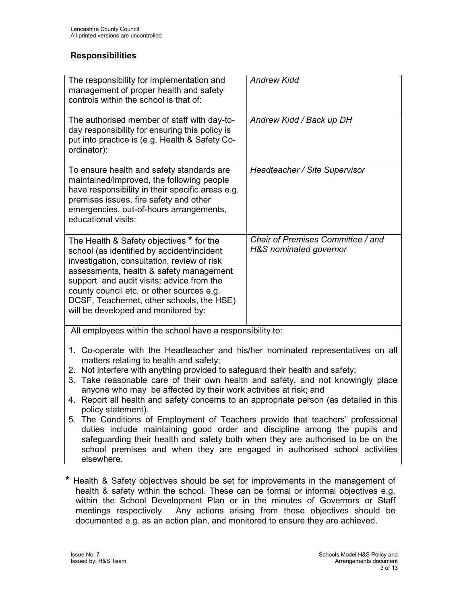#### **Responsibilities**

| The responsibility for implementation and<br>management of proper health and safety<br>controls within the school is that of:                                                                                                                                                                                                                                  | <b>Andrew Kidd</b>                                          |
|----------------------------------------------------------------------------------------------------------------------------------------------------------------------------------------------------------------------------------------------------------------------------------------------------------------------------------------------------------------|-------------------------------------------------------------|
| The authorised member of staff with day-to-<br>day responsibility for ensuring this policy is<br>put into practice is (e.g. Health & Safety Co-<br>ordinator):                                                                                                                                                                                                 | Andrew Kidd / Back up DH                                    |
| To ensure health and safety standards are<br>maintained/improved, the following people<br>have responsibility in their specific areas e.g.<br>premises issues, fire safety and other<br>emergencies, out-of-hours arrangements,<br>educational visits:                                                                                                         | Headteacher / Site Supervisor                               |
| The Health & Safety objectives * for the<br>school (as identified by accident/incident<br>investigation, consultation, review of risk<br>assessments, health & safety management<br>support and audit visits; advice from the<br>county council etc. or other sources e.g.<br>DCSF, Teachernet, other schools, the HSE)<br>will be developed and monitored by: | Chair of Premises Committee / and<br>H&S nominated governor |
| All employees within the school have a responsibility to:                                                                                                                                                                                                                                                                                                      |                                                             |

- 1. Co-operate with the Headteacher and his/her nominated representatives on all matters relating to health and safety;
- 2. Not interfere with anything provided to safeguard their health and safety;
- 3. Take reasonable care of their own health and safety, and not knowingly place anyone who may be affected by their work activities at risk; and
- 4. Report all health and safety concerns to an appropriate person (as detailed in this policy statement).
- 5. The Conditions of Employment of Teachers provide that teachers' professional duties include maintaining good order and discipline among the pupils and safeguarding their health and safety both when they are authorised to be on the school premises and when they are engaged in authorised school activities elsewhere.
- \* Health & Safety objectives should be set for improvements in the management of health & safety within the school. These can be formal or informal objectives e.g. within the School Development Plan or in the minutes of Governors or Staff meetings respectively. Any actions arising from those objectives should be documented e.g. as an action plan, and monitored to ensure they are achieved.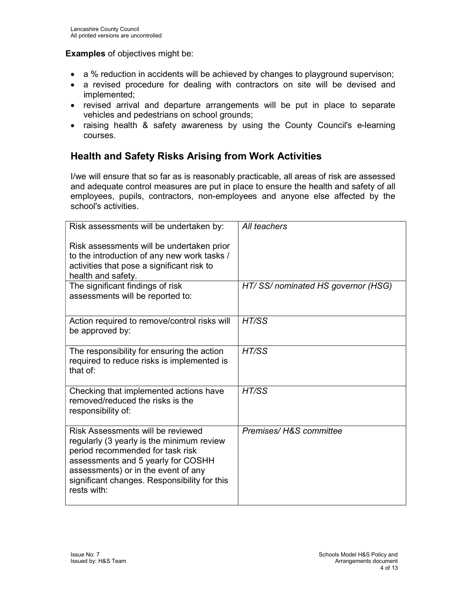#### Examples of objectives might be:

- a % reduction in accidents will be achieved by changes to playground supervison;
- a revised procedure for dealing with contractors on site will be devised and implemented;
- revised arrival and departure arrangements will be put in place to separate vehicles and pedestrians on school grounds;
- raising health & safety awareness by using the County Council's e-learning courses.

### Health and Safety Risks Arising from Work Activities

I/we will ensure that so far as is reasonably practicable, all areas of risk are assessed and adequate control measures are put in place to ensure the health and safety of all employees, pupils, contractors, non-employees and anyone else affected by the school's activities.

| All teachers                      |
|-----------------------------------|
|                                   |
| HT/SS/nominated HS governor (HSG) |
| HT/SS                             |
| HT/SS                             |
| HT/SS                             |
| Premises/H&S committee            |
|                                   |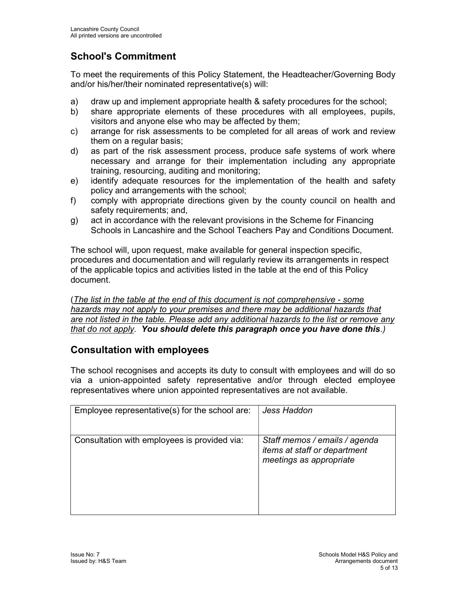# School's Commitment

To meet the requirements of this Policy Statement, the Headteacher/Governing Body and/or his/her/their nominated representative(s) will:

- a) draw up and implement appropriate health & safety procedures for the school;
- b) share appropriate elements of these procedures with all employees, pupils, visitors and anyone else who may be affected by them;
- c) arrange for risk assessments to be completed for all areas of work and review them on a regular basis;
- d) as part of the risk assessment process, produce safe systems of work where necessary and arrange for their implementation including any appropriate training, resourcing, auditing and monitoring;
- e) identify adequate resources for the implementation of the health and safety policy and arrangements with the school;
- f) comply with appropriate directions given by the county council on health and safety requirements; and,
- g) act in accordance with the relevant provisions in the Scheme for Financing Schools in Lancashire and the School Teachers Pay and Conditions Document.

The school will, upon request, make available for general inspection specific, procedures and documentation and will regularly review its arrangements in respect of the applicable topics and activities listed in the table at the end of this Policy document.

(The list in the table at the end of this document is not comprehensive - some hazards may not apply to your premises and there may be additional hazards that are not listed in the table. Please add any additional hazards to the list or remove any that do not apply. You should delete this paragraph once you have done this.)

### Consultation with employees

The school recognises and accepts its duty to consult with employees and will do so via a union-appointed safety representative and/or through elected employee representatives where union appointed representatives are not available.

| Employee representative(s) for the school are: | Jess Haddon                                                                                     |
|------------------------------------------------|-------------------------------------------------------------------------------------------------|
| Consultation with employees is provided via:   | Staff memos / emails / agenda<br><i>items at staff or department</i><br>meetings as appropriate |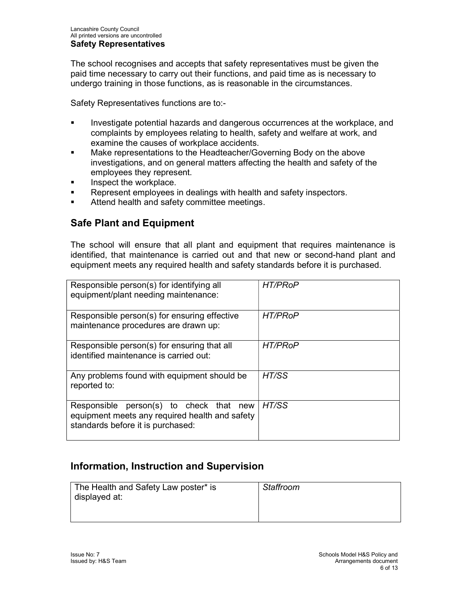The school recognises and accepts that safety representatives must be given the paid time necessary to carry out their functions, and paid time as is necessary to undergo training in those functions, as is reasonable in the circumstances.

Safety Representatives functions are to:-

- Investigate potential hazards and dangerous occurrences at the workplace, and complaints by employees relating to health, safety and welfare at work, and examine the causes of workplace accidents.
- Make representations to the Headteacher/Governing Body on the above investigations, and on general matters affecting the health and safety of the employees they represent.
- **Inspect the workplace.**
- **Represent employees in dealings with health and safety inspectors.**
- **EXECUTE:** Attend health and safety committee meetings.

### Safe Plant and Equipment

The school will ensure that all plant and equipment that requires maintenance is identified, that maintenance is carried out and that new or second-hand plant and equipment meets any required health and safety standards before it is purchased.

| Responsible person(s) for identifying all<br>equipment/plant needing maintenance:                                                 | <b>HT/PRoP</b> |
|-----------------------------------------------------------------------------------------------------------------------------------|----------------|
| Responsible person(s) for ensuring effective<br>maintenance procedures are drawn up:                                              | <b>HT/PRoP</b> |
| Responsible person(s) for ensuring that all<br>identified maintenance is carried out:                                             | <b>HT/PRoP</b> |
| Any problems found with equipment should be<br>reported to:                                                                       | HT/SS          |
| Responsible person(s) to check that<br>new<br>equipment meets any required health and safety<br>standards before it is purchased: | HT/SS          |

### Information, Instruction and Supervision

| The Health and Safety Law poster* is<br>displayed at: | Staffroom |
|-------------------------------------------------------|-----------|
|                                                       |           |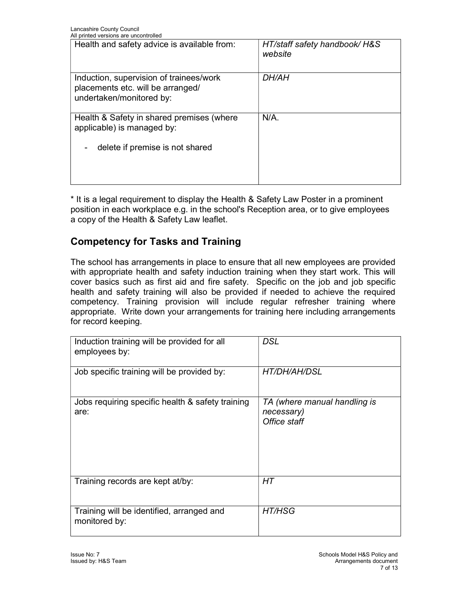| All printed versions are uncontrolled                                                                    |                                          |
|----------------------------------------------------------------------------------------------------------|------------------------------------------|
| Health and safety advice is available from:                                                              | HT/staff safety handbook/ H&S<br>website |
| Induction, supervision of trainees/work<br>placements etc. will be arranged/<br>undertaken/monitored by: | <b>DH/AH</b>                             |
| Health & Safety in shared premises (where<br>applicable) is managed by:                                  | $N/A$ .                                  |
| delete if premise is not shared                                                                          |                                          |

\* It is a legal requirement to display the Health & Safety Law Poster in a prominent position in each workplace e.g. in the school's Reception area, or to give employees a copy of the Health & Safety Law leaflet.

### Competency for Tasks and Training

The school has arrangements in place to ensure that all new employees are provided with appropriate health and safety induction training when they start work. This will cover basics such as first aid and fire safety. Specific on the job and job specific health and safety training will also be provided if needed to achieve the required competency. Training provision will include regular refresher training where appropriate. Write down your arrangements for training here including arrangements for record keeping.

| Induction training will be provided for all<br>employees by: | <b>DSL</b>                                                 |
|--------------------------------------------------------------|------------------------------------------------------------|
| Job specific training will be provided by:                   | HT/DH/AH/DSL                                               |
| Jobs requiring specific health & safety training<br>are:     | TA (where manual handling is<br>necessary)<br>Office staff |
| Training records are kept at/by:                             | НT                                                         |
| Training will be identified, arranged and<br>monitored by:   | <b>HT/HSG</b>                                              |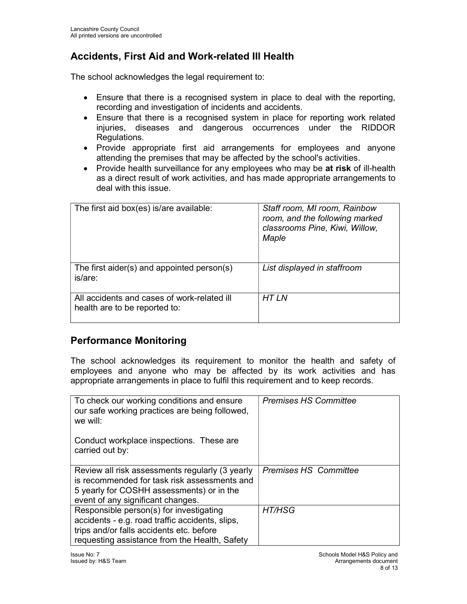## Accidents, First Aid and Work-related Ill Health

The school acknowledges the legal requirement to:

- Ensure that there is a recognised system in place to deal with the reporting, recording and investigation of incidents and accidents.
- Ensure that there is a recognised system in place for reporting work related injuries, diseases and dangerous occurrences under the RIDDOR Regulations.
- Provide appropriate first aid arrangements for employees and anyone attending the premises that may be affected by the school's activities.
- Provide health surveillance for any employees who may be at risk of ill-health as a direct result of work activities, and has made appropriate arrangements to deal with this issue.

| The first aid box(es) is/are available:                                      | Staff room, MI room, Rainbow<br>room, and the following marked<br>classrooms Pine, Kiwi, Willow,<br>Maple |
|------------------------------------------------------------------------------|-----------------------------------------------------------------------------------------------------------|
| The first aider(s) and appointed person(s)<br>is/are:                        | List displayed in staffroom                                                                               |
| All accidents and cases of work-related ill<br>health are to be reported to: | HT I N                                                                                                    |

### Performance Monitoring

The school acknowledges its requirement to monitor the health and safety of employees and anyone who may be affected by its work activities and has appropriate arrangements in place to fulfil this requirement and to keep records.

| To check our working conditions and ensure<br>our safe working practices are being followed,<br>we will:                                                                                | <b>Premises HS Committee</b> |
|-----------------------------------------------------------------------------------------------------------------------------------------------------------------------------------------|------------------------------|
| Conduct workplace inspections. These are<br>carried out by:                                                                                                                             |                              |
| Review all risk assessments regularly (3 yearly<br>is recommended for task risk assessments and<br>5 yearly for COSHH assessments) or in the<br>event of any significant changes.       | <b>Premises HS Committee</b> |
| Responsible person(s) for investigating<br>accidents - e.g. road traffic accidents, slips,<br>trips and/or falls accidents etc. before<br>requesting assistance from the Health, Safety | HT/HSG                       |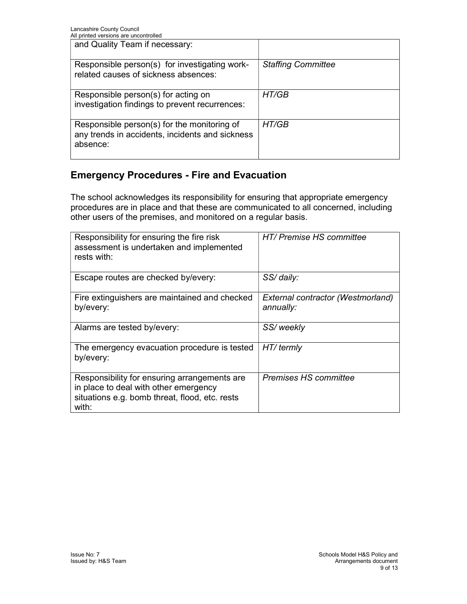| All printed versions are dricontrolled                                                                     |                           |
|------------------------------------------------------------------------------------------------------------|---------------------------|
| and Quality Team if necessary:                                                                             |                           |
| Responsible person(s) for investigating work-<br>related causes of sickness absences:                      | <b>Staffing Committee</b> |
| Responsible person(s) for acting on<br>investigation findings to prevent recurrences:                      | HT/GB                     |
| Responsible person(s) for the monitoring of<br>any trends in accidents, incidents and sickness<br>absence: | HT/GB                     |

### Emergency Procedures - Fire and Evacuation

The school acknowledges its responsibility for ensuring that appropriate emergency procedures are in place and that these are communicated to all concerned, including other users of the premises, and monitored on a regular basis.

| Responsibility for ensuring the fire risk<br>assessment is undertaken and implemented<br>rests with:                                             | HT/ Premise HS committee                       |
|--------------------------------------------------------------------------------------------------------------------------------------------------|------------------------------------------------|
| Escape routes are checked by/every:                                                                                                              | SS/daily:                                      |
| Fire extinguishers are maintained and checked<br>by/every:                                                                                       | External contractor (Westmorland)<br>annually: |
| Alarms are tested by/every:                                                                                                                      | SS/weekly                                      |
| The emergency evacuation procedure is tested<br>by/every:                                                                                        | HT/termly                                      |
| Responsibility for ensuring arrangements are<br>in place to deal with other emergency<br>situations e.g. bomb threat, flood, etc. rests<br>with: | <b>Premises HS committee</b>                   |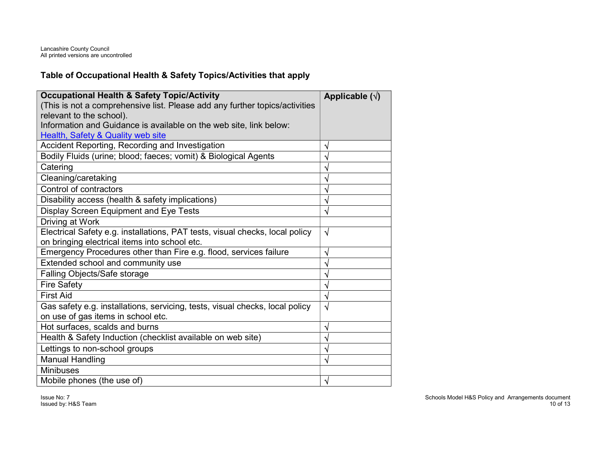#### Table of Occupational Health & Safety Topics/Activities that apply

| <b>Occupational Health &amp; Safety Topic/Activity</b><br>(This is not a comprehensive list. Please add any further topics/activities<br>relevant to the school). | Applicable $(\sqrt{})$ |
|-------------------------------------------------------------------------------------------------------------------------------------------------------------------|------------------------|
| Information and Guidance is available on the web site, link below:                                                                                                |                        |
| <b>Health, Safety &amp; Quality web site</b>                                                                                                                      |                        |
| Accident Reporting, Recording and Investigation                                                                                                                   | V                      |
| Bodily Fluids (urine; blood; faeces; vomit) & Biological Agents                                                                                                   |                        |
| Catering                                                                                                                                                          |                        |
| Cleaning/caretaking                                                                                                                                               |                        |
| Control of contractors                                                                                                                                            |                        |
| Disability access (health & safety implications)                                                                                                                  |                        |
| Display Screen Equipment and Eye Tests                                                                                                                            | N                      |
| Driving at Work                                                                                                                                                   |                        |
| Electrical Safety e.g. installations, PAT tests, visual checks, local policy<br>on bringing electrical items into school etc.                                     | $\sqrt{ }$             |
| Emergency Procedures other than Fire e.g. flood, services failure                                                                                                 | ึง                     |
| Extended school and community use                                                                                                                                 | V                      |
| Falling Objects/Safe storage                                                                                                                                      | ٦                      |
| <b>Fire Safety</b>                                                                                                                                                |                        |
| <b>First Aid</b>                                                                                                                                                  |                        |
| Gas safety e.g. installations, servicing, tests, visual checks, local policy<br>on use of gas items in school etc.                                                | √                      |
| Hot surfaces, scalds and burns                                                                                                                                    | ٦I                     |
| Health & Safety Induction (checklist available on web site)                                                                                                       | ٦                      |
| Lettings to non-school groups                                                                                                                                     |                        |
| <b>Manual Handling</b>                                                                                                                                            |                        |
| <b>Minibuses</b>                                                                                                                                                  |                        |
| Mobile phones (the use of)                                                                                                                                        | V                      |

Issue No: 7 Issued by: H&S Team  Schools Model H&S Policy and Arrangements document 10 of 13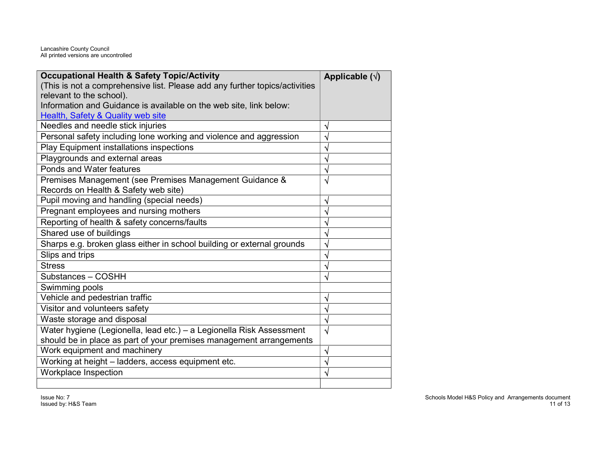Lancashire County Council All printed versions are uncontrolled

| <b>Occupational Health &amp; Safety Topic/Activity</b>                      | Applicable $(\sqrt{})$ |
|-----------------------------------------------------------------------------|------------------------|
| (This is not a comprehensive list. Please add any further topics/activities |                        |
| relevant to the school).                                                    |                        |
| Information and Guidance is available on the web site, link below:          |                        |
| Health, Safety & Quality web site                                           |                        |
| Needles and needle stick injuries                                           | ٦                      |
| Personal safety including lone working and violence and aggression          |                        |
| Play Equipment installations inspections                                    |                        |
| Playgrounds and external areas                                              |                        |
| Ponds and Water features                                                    |                        |
| Premises Management (see Premises Management Guidance &                     | V                      |
| Records on Health & Safety web site)                                        |                        |
| Pupil moving and handling (special needs)                                   | ิง                     |
| Pregnant employees and nursing mothers                                      |                        |
| Reporting of health & safety concerns/faults                                |                        |
| Shared use of buildings                                                     |                        |
| Sharps e.g. broken glass either in school building or external grounds      |                        |
| Slips and trips                                                             |                        |
| <b>Stress</b>                                                               |                        |
| Substances - COSHH                                                          |                        |
| Swimming pools                                                              |                        |
| Vehicle and pedestrian traffic                                              |                        |
| Visitor and volunteers safety                                               |                        |
| Waste storage and disposal                                                  | ٦J                     |
| Water hygiene (Legionella, lead etc.) - a Legionella Risk Assessment        | √                      |
| should be in place as part of your premises management arrangements         |                        |
| Work equipment and machinery                                                | ٧                      |
| Working at height - ladders, access equipment etc.                          |                        |
| <b>Workplace Inspection</b>                                                 |                        |
|                                                                             |                        |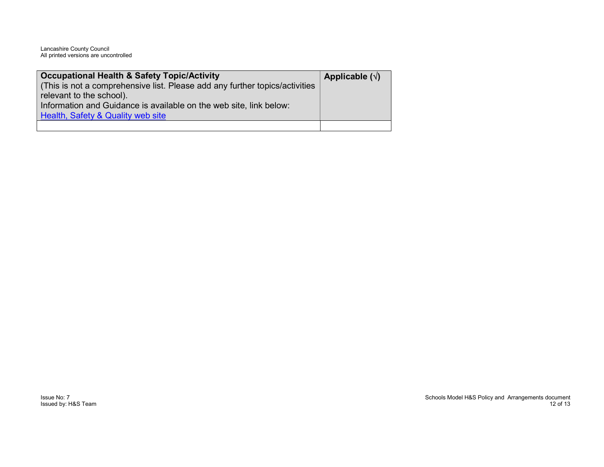Lancashire County Council All printed versions are uncontrolled

| <b>Occupational Health &amp; Safety Topic/Activity</b>                      | Applicable $(\sqrt)$ |
|-----------------------------------------------------------------------------|----------------------|
| (This is not a comprehensive list. Please add any further topics/activities |                      |
| relevant to the school).                                                    |                      |
| Information and Guidance is available on the web site, link below:          |                      |
| Health, Safety & Quality web site                                           |                      |
|                                                                             |                      |